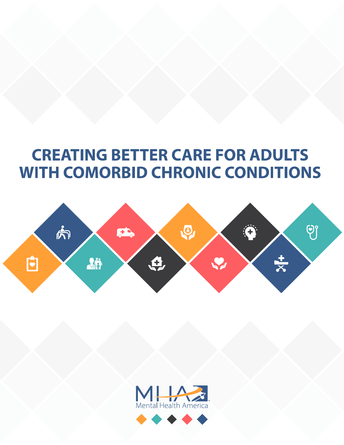# **CREATING BETTER CARE FOR ADULTS WITH COMORBID CHRONIC CONDITIONS**



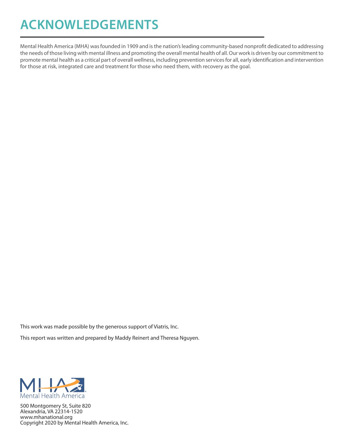## **ACKNOWLEDGEMENTS**

Mental Health America (MHA) was founded in 1909 and is the nation's leading community-based nonprofit dedicated to addressing the needs of those living with mental illness and promoting the overall mental health of all. Our work is driven by our commitment to promote mental health as a critical part of overall wellness, including prevention services for all, early identification and intervention for those at risk, integrated care and treatment for those who need them, with recovery as the goal.

This work was made possible by the generous support of Viatris, Inc.

This report was written and prepared by Maddy Reinert and Theresa Nguyen.



500 Montgomery St, Suite 820 Alexandria, VA 22314-1520 www.mhanational.org Copyright 2020 by Mental Health America, Inc.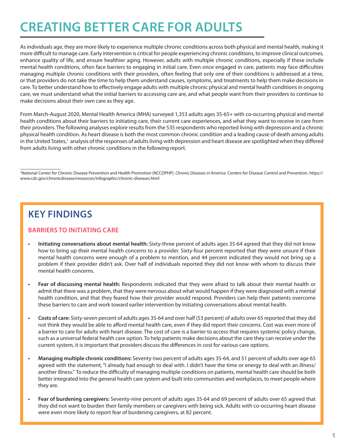## **CREATING BETTER CARE FOR ADULTS**

As individuals age, they are more likely to experience multiple chronic conditions across both physical and mental health, making it more difficult to manage care. Early intervention is critical for people experiencing chronic conditions, to improve clinical outcomes, enhance quality of life, and ensure healthier aging. However, adults with multiple chronic conditions, especially if these include mental health conditions, often face barriers to engaging in initial care. Even once engaged in care, patients may face difficulties managing multiple chronic conditions with their providers, often feeling that only one of their conditions is addressed at a time, or that providers do not take the time to help them understand causes, symptoms, and treatments to help them make decisions in care. To better understand how to effectively engage adults with multiple chronic physical and mental health conditions in ongoing care, we must understand what the initial barriers to accessing care are, and what people want from their providers to continue to make decisions about their own care as they age.

From March-August 2020, Mental Health America (MHA) surveyed 1,353 adults ages 35-65+ with co-occurring physical and mental health conditions about their barriers to initiating care, their current care experiences, and what they want to receive in care from their providers. The following analyses explore results from the 535 respondents who reported living with depression and a chronic physical health condition. As heart disease is both the most common chronic condition and a leading cause of death among adults in the United States,<sup>1</sup> analysis of the responses of adults living with depression and heart disease are spotlighted when they differed from adults living with other chronic conditions in the following report.

1 National Center for Chronic Disease Prevention and Health Promotion (NCCDPHP). *Chronic Diseases in America*. Centers for Disease Control and Prevention. https:// www.cdc.gov/chronicdisease/resources/infographic/chronic-diseases.html

## **KEY FINDINGS**

## **BARRIERS TO INITIATING CARE**

- **• Initiating conversations about mental health:** Sixty-three percent of adults ages 35-64 agreed that they did not know how to bring up their mental health concerns to a provider. Sixty-four percent reported that they were unsure if their mental health concerns were enough of a problem to mention, and 44 percent indicated they would not bring up a problem if their provider didn't ask. Over half of individuals reported they did not know with whom to discuss their mental health concerns.
- **• Fear of discussing mental health:** Respondents indicated that they were afraid to talk about their mental health or admit that there was a problem, that they were nervous about what would happen if they were diagnosed with a mental health condition, and that they feared how their provider would respond. Providers can help their patients overcome these barriers to care and work toward earlier intervention by initiating conversations about mental health.
- **• Costs of care:** Sixty-seven percent of adults ages 35-64 and over half (53 percent) of adults over 65 reported that they did not think they would be able to afford mental health care, even if they did report their concerns. Cost was even more of a barrier to care for adults with heart disease. The cost of care is a barrier to access that requires systemic policy change, such as a universal federal health care option. To help patients make decisions about the care they can receive under the current system, it is important that providers discuss the differences in cost for various care options.
- **• Managing multiple chronic conditions:** Seventy-two percent of adults ages 35-64, and 51 percent of adults over age 65 agreed with the statement, "I already had enough to deal with. I didn't have the time or energy to deal with an illness/ another illness." To reduce the difficulty of managing multiple conditions on patients, mental health care should be both better integrated into the general health care system and built into communities and workplaces, to meet people where they are.
- **• Fear of burdening caregivers:** Seventy-nine percent of adults ages 35-64 and 69 percent of adults over 65 agreed that they did not want to burden their family members or caregivers with being sick. Adults with co-occurring heart disease were even more likely to report fear of burdening caregivers, at 82 percent.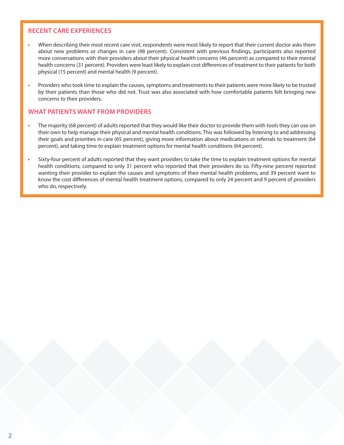### **RECENT CARE EXPERIENCES**

- When describing their most recent care visit, respondents were most likely to report that their current doctor asks them about new problems or changes in care (48 percent). Consistent with previous findings, participants also reported more conversations with their providers about their physical health concerns (46 percent) as compared to their mental health concerns (31 percent). Providers were least likely to explain cost differences of treatment to their patients for both physical (15 percent) and mental health (9 percent).
- Providers who took time to explain the causes, symptoms and treatments to their patients were more likely to be trusted by their patients than those who did not. Trust was also associated with how comfortable patients felt bringing new concerns to their providers.

### **WHAT PATIENTS WANT FROM PROVIDERS**

- The majority (68 percent) of adults reported that they would like their doctor to provide them with tools they can use on their own to help manage their physical and mental health conditions. This was followed by listening to and addressing their goals and priorities in care (65 percent), giving more information about medications or referrals to treatment (64 percent), and taking time to explain treatment options for mental health conditions (64 percent).
- Sixty-four percent of adults reported that they want providers to take the time to explain treatment options for mental health conditions, compared to only 31 percent who reported that their providers do so. Fifty-nine percent reported wanting their provider to explain the causes and symptoms of their mental health problems, and 39 percent want to know the cost differences of mental health treatment options, compared to only 24 percent and 9 percent of providers who do, respectively.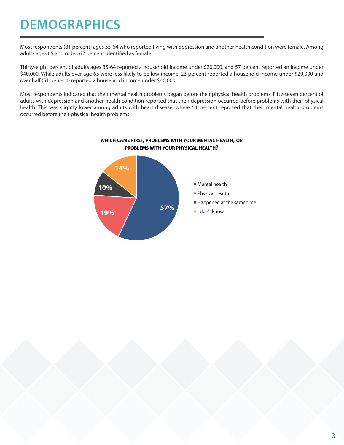## **DEMOGRAPHICS**

Most respondents (81 percent) ages 35-64 who reported living with depression and another health condition were female. Among adults ages 65 and older, 62 percent identified as female.

Thirty-eight percent of adults ages 35-64 reported a household income under \$20,000, and 57 percent reported an income under \$40,000. While adults over age 65 were less likely to be low-income, 23 percent reported a household income under \$20,000 and over half (51 percent) reported a household income under \$40,000.

Most respondents indicated that their mental health problems began before their physical health problems. Fifty-seven percent of adults with depression and another health condition reported that their depression occurred before problems with their physical health. This was slightly lower among adults with heart disease, where 51 percent reported that their mental health problems occurred before their physical health problems.



### WHICH CAME FIRST, PROBLEMS WITH YOUR MENTAL HEALTH, OR PROBLEMS WITH YOUR PHYSICAL HEALTH?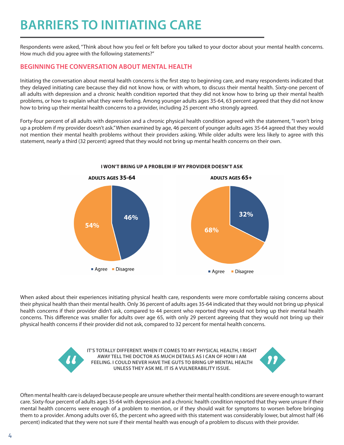## **BARRIERS TO INITIATING CARE**

Respondents were asked, "Think about how you feel or felt before you talked to your doctor about your mental health concerns. How much did you agree with the following statements?"

### **BEGINNING THE CONVERSATION ABOUT MENTAL HEALTH**

Initiating the conversation about mental health concerns is the first step to beginning care, and many respondents indicated that they delayed initiating care because they did not know how, or with whom, to discuss their mental health. Sixty-one percent of all adults with depression and a chronic health condition reported that they did not know how to bring up their mental health problems, or how to explain what they were feeling. Among younger adults ages 35-64, 63 percent agreed that they did not know how to bring up their mental health concerns to a provider, including 25 percent who strongly agreed.

Forty-four percent of all adults with depression and a chronic physical health condition agreed with the statement, "I won't bring up a problem if my provider doesn't ask." When examined by age, 46 percent of younger adults ages 35-64 agreed that they would not mention their mental health problems without their providers asking. While older adults were less likely to agree with this statement, nearly a third (32 percent) agreed that they would not bring up mental health concerns on their own.



When asked about their experiences initiating physical health care, respondents were more comfortable raising concerns about their physical health than their mental health. Only 36 percent of adults ages 35-64 indicated that they would not bring up physical health concerns if their provider didn't ask, compared to 44 percent who reported they would not bring up their mental health concerns. This difference was smaller for adults over age 65, with only 29 percent agreeing that they would not bring up their physical health concerns if their provider did not ask, compared to 32 percent for mental health concerns.



**IT'S TOTALLY DIFFERENT. WHEN IT COMES TO MY PHYSICAL HEALTH, I RIGHT AWAY TELL THE DOCTOR AS MUCH DETAILS AS I CAN OF HOW I AM FEELING. I COULD NEVER HAVE THE GUTS TO BRING UP MENTAL HEALTH UNLESS THEY ASK ME. IT IS A VULNERABILITY ISSUE.**



Often mental health care is delayed because people are unsure whether their mental health conditions are severe enough to warrant care. Sixty-four percent of adults ages 35-64 with depression and a chronic health condition reported that they were unsure if their mental health concerns were enough of a problem to mention, or if they should wait for symptoms to worsen before bringing them to a provider. Among adults over 65, the percent who agreed with this statement was considerably lower, but almost half (46 percent) indicated that they were not sure if their mental health was enough of a problem to discuss with their provider.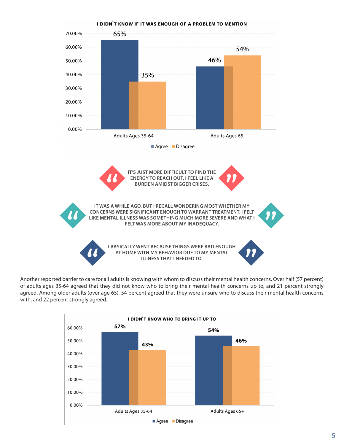

Another reported barrier to care for all adults is knowing with whom to discuss their mental health concerns. Over half (57 percent) of adults ages 35-64 agreed that they did not know who to bring their mental health concerns up to, and 21 percent strongly agreed. Among older adults (over age 65), 54 percent agreed that they were unsure who to discuss their mental health concerns with, and 22 percent strongly agreed.

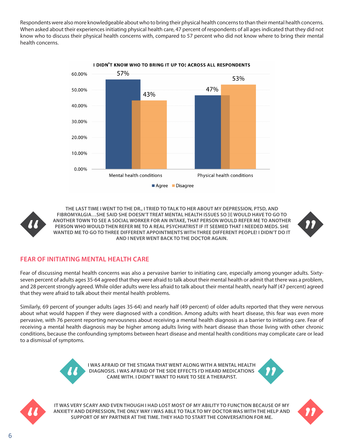Respondents were also more knowledgeable about who to bring their physical health concerns to than their mental health concerns. When asked about their experiences initiating physical health care, 47 percent of respondents of all ages indicated that they did not know who to discuss their physical health concerns with, compared to 57 percent who did not know where to bring their mental health concerns.



I DIDN'T KNOW WHO TO BRING IT UP TO: ACROSS ALL RESPONDENTS



**THE LAST TIME I WENT TO THE DR., I TRIED TO TALK TO HER ABOUT MY DEPRESSION, PTSD, AND FIBROMYALGIA…SHE SAID SHE DOESN'T TREAT MENTAL HEALTH ISSUES SO [I] WOULD HAVE TO GO TO ANOTHER TOWN TO SEE A SOCIAL WORKER FOR AN INTAKE, THAT PERSON WOULD REFER ME TO ANOTHER PERSON WHO WOULD THEN REFER ME TO A REAL PSYCHIATRIST IF IT SEEMED THAT I NEEDED MEDS. SHE WANTED ME TO GO TO THREE DIFFERENT APPOINTMENTS WITH THREE DIFFERENT PEOPLE! I DIDN'T DO IT AND I NEVER WENT BACK TO THE DOCTOR AGAIN.**

## **FEAR OF INITIATING MENTAL HEALTH CARE**

Fear of discussing mental health concerns was also a pervasive barrier to initiating care, especially among younger adults. Sixtyseven percent of adults ages 35-64 agreed that they were afraid to talk about their mental health or admit that there was a problem, and 28 percent strongly agreed. While older adults were less afraid to talk about their mental health, nearly half (47 percent) agreed that they were afraid to talk about their mental health problems.

Similarly, 69 percent of younger adults (ages 35-64) and nearly half (49 percent) of older adults reported that they were nervous about what would happen if they were diagnosed with a condition. Among adults with heart disease, this fear was even more pervasive, with 76 percent reporting nervousness about receiving a mental health diagnosis as a barrier to initiating care. Fear of receiving a mental health diagnosis may be higher among adults living with heart disease than those living with other chronic conditions, because the confounding symptoms between heart disease and mental health conditions may complicate care or lead to a dismissal of symptoms.



**I WAS AFRAID OF THE STIGMA THAT WENT ALONG WITH A MENTAL HEALTH DIAGNOSIS. I WAS AFRAID OF THE SIDE EFFECTS I'D HEARD MEDICATIONS CAME WITH. I DIDN'T WANT TO HAVE TO SEE A THERAPIST.**





**IT WAS VERY SCARY AND EVEN THOUGH I HAD LOST MOST OF MY ABILITY TO FUNCTION BECAUSE OF MY ANXIETY AND DEPRESSION, THE ONLY WAY I WAS ABLE TO TALK TO MY DOCTOR WAS WITH THE HELP AND SUPPORT OF MY PARTNER AT THE TIME. THEY HAD TO START THE CONVERSATION FOR ME.**

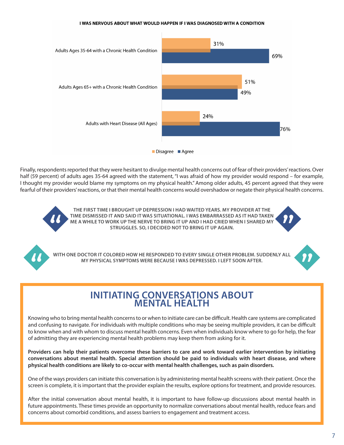#### I WAS NERVOUS ABOUT WHAT WOULD HAPPEN IF I WAS DIAGNOSED WITH A CONDITION



Finally, respondents reported that they were hesitant to divulge mental health concerns out of fear of their providers' reactions. Over half (59 percent) of adults ages 35-64 agreed with the statement, "I was afraid of how my provider would respond – for example, I thought my provider would blame my symptoms on my physical health." Among older adults, 45 percent agreed that they were fearful of their providers' reactions, or that their mental health concerns would overshadow or negate their physical health concerns.

> **THE FIRST TIME I BROUGHT UP DEPRESSION I HAD WAITED YEARS. MY PROVIDER AT THE TIME DISMISSED IT AND SAID IT WAS SITUATIONAL. I WAS EMBARRASSED AS IT HAD TAKEN ME A WHILE TO WORK UP THE NERVE TO BRING IT UP AND I HAD CRIED WHEN I SHARED MY STRUGGLES. SO, I DECIDED NOT TO BRING IT UP AGAIN.**



**WITH ONE DOCTOR IT COLORED HOW HE RESPONDED TO EVERY SINGLE OTHER PROBLEM. SUDDENLY ALL MY PHYSICAL SYMPTOMS WERE BECAUSE I WAS DEPRESSED. I LEFT SOON AFTER.**



## **INITIATING CONVERSATIONS ABOUT MENTAL HEALTH**

Knowing who to bring mental health concerns to or when to initiate care can be difficult. Health care systems are complicated and confusing to navigate. For individuals with multiple conditions who may be seeing multiple providers, it can be difficult to know when and with whom to discuss mental health concerns. Even when individuals know where to go for help, the fear of admitting they are experiencing mental health problems may keep them from asking for it.

**Providers can help their patients overcome these barriers to care and work toward earlier intervention by initiating conversations about mental health. Special attention should be paid to individuals with heart disease, and where physical health conditions are likely to co-occur with mental health challenges, such as pain disorders.** 

One of the ways providers can initiate this conversation is by administering mental health screens with their patient. Once the screen is complete, it is important that the provider explain the results, explore options for treatment, and provide resources.

After the initial conversation about mental health, it is important to have follow-up discussions about mental health in future appointments. These times provide an opportunity to normalize conversations about mental health, reduce fears and concerns about comorbid conditions, and assess barriers to engagement and treatment access.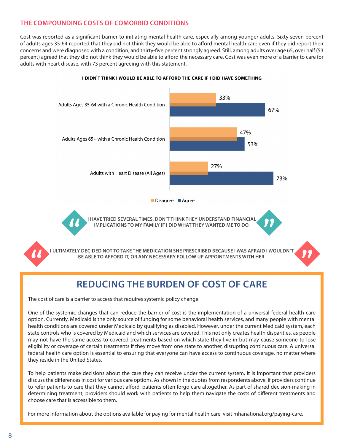## **THE COMPOUNDING COSTS OF COMORBID CONDITIONS**

Cost was reported as a significant barrier to initiating mental health care, especially among younger adults. Sixty-seven percent of adults ages 35-64 reported that they did not think they would be able to afford mental health care even if they did report their concerns and were diagnosed with a condition, and thirty-five percent strongly agreed. Still, among adults over age 65, over half (53 percent) agreed that they did not think they would be able to afford the necessary care. Cost was even more of a barrier to care for adults with heart disease, with 73 percent agreeing with this statement.



#### I DIDN'T THINK I WOULD BE ABLE TO AFFORD THE CARE IF I DID HAVE SOMETHING

## **REDUCING THE BURDEN OF COST OF CARE**

The cost of care is a barrier to access that requires systemic policy change.

One of the systemic changes that can reduce the barrier of cost is the implementation of a universal federal health care option. Currently, Medicaid is the only source of funding for some behavioral health services, and many people with mental health conditions are covered under Medicaid by qualifying as disabled. However, under the current Medicaid system, each state controls who is covered by Medicaid and which services are covered. This not only creates health disparities, as people may not have the same access to covered treatments based on which state they live in but may cause someone to lose eligibility or coverage of certain treatments if they move from one state to another, disrupting continuous care. A universal federal health care option is essential to ensuring that everyone can have access to continuous coverage, no matter where they reside in the United States.

To help patients make decisions about the care they can receive under the current system, it is important that providers discuss the differences in cost for various care options. As shown in the quotes from respondents above, if providers continue to refer patients to care that they cannot afford, patients often forgo care altogether. As part of shared decision-making in determining treatment, providers should work with patients to help them navigate the costs of different treatments and choose care that is accessible to them.

For more information about the options available for paying for mental health care, visit [mhanational.org/paying-care](https://mhanational.org/paying-care.).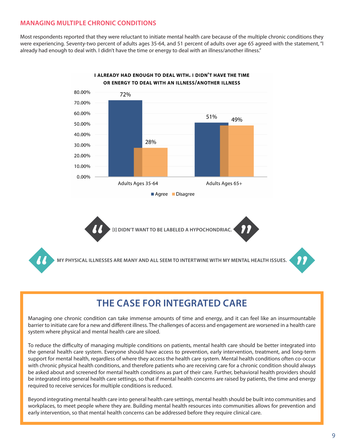## **MANAGING MULTIPLE CHRONIC CONDITIONS**

Most respondents reported that they were reluctant to initiate mental health care because of the multiple chronic conditions they were experiencing. Seventy-two percent of adults ages 35-64, and 51 percent of adults over age 65 agreed with the statement, "I already had enough to deal with. I didn't have the time or energy to deal with an illness/another illness."



#### I ALREADY HAD ENOUGH TO DEAL WITH. I DIDN'T HAVE THE TIME OR ENERGY TO DEAL WITH AN ILLNESS/ANOTHER ILLNESS

## **THE CASE FOR INTEGRATED CARE**

Managing one chronic condition can take immense amounts of time and energy, and it can feel like an insurmountable barrier to initiate care for a new and different illness. The challenges of access and engagement are worsened in a health care system where physical and mental health care are siloed.

To reduce the difficulty of managing multiple conditions on patients, mental health care should be better integrated into the general health care system. Everyone should have access to prevention, early intervention, treatment, and long-term support for mental health, regardless of where they access the health care system. Mental health conditions often co-occur with chronic physical health conditions, and therefore patients who are receiving care for a chronic condition should always be asked about and screened for mental health conditions as part of their care. Further, behavioral health providers should be integrated into general health care settings, so that if mental health concerns are raised by patients, the time and energy required to receive services for multiple conditions is reduced.

Beyond integrating mental health care into general health care settings, mental health should be built into communities and workplaces, to meet people where they are. Building mental health resources into communities allows for prevention and early intervention, so that mental health concerns can be addressed before they require clinical care.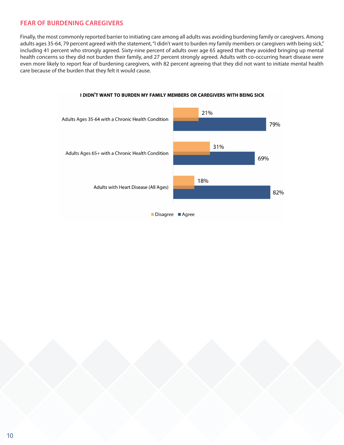## **FEAR OF BURDENING CAREGIVERS**

Finally, the most commonly reported barrier to initiating care among all adults was avoiding burdening family or caregivers. Among adults ages 35-64, 79 percent agreed with the statement, "I didn't want to burden my family members or caregivers with being sick," including 41 percent who strongly agreed. Sixty-nine percent of adults over age 65 agreed that they avoided bringing up mental health concerns so they did not burden their family, and 27 percent strongly agreed. Adults with co-occurring heart disease were even more likely to report fear of burdening caregivers, with 82 percent agreeing that they did not want to initiate mental health care because of the burden that they felt it would cause.



#### I DIDN'T WANT TO BURDEN MY FAMILY MEMBERS OR CAREGIVERS WITH BEING SICK

Disagree Agree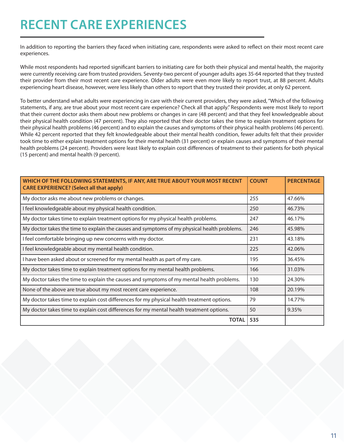## **RECENT CARE EXPERIENCES**

In addition to reporting the barriers they faced when initiating care, respondents were asked to reflect on their most recent care experiences.

While most respondents had reported significant barriers to initiating care for both their physical and mental health, the majority were currently receiving care from trusted providers. Seventy-two percent of younger adults ages 35-64 reported that they trusted their provider from their most recent care experience. Older adults were even more likely to report trust, at 88 percent. Adults experiencing heart disease, however, were less likely than others to report that they trusted their provider, at only 62 percent.

To better understand what adults were experiencing in care with their current providers, they were asked, "Which of the following statements, if any, are true about your most recent care experience? Check all that apply." Respondents were most likely to report that their current doctor asks them about new problems or changes in care (48 percent) and that they feel knowledgeable about their physical health condition (47 percent). They also reported that their doctor takes the time to explain treatment options for their physical health problems (46 percent) and to explain the causes and symptoms of their physical health problems (46 percent). While 42 percent reported that they felt knowledgeable about their mental health condition, fewer adults felt that their provider took time to either explain treatment options for their mental health (31 percent) or explain causes and symptoms of their mental health problems (24 percent). Providers were least likely to explain cost differences of treatment to their patients for both physical (15 percent) and mental health (9 percent).

| WHICH OF THE FOLLOWING STATEMENTS, IF ANY, ARE TRUE ABOUT YOUR MOST RECENT<br><b>CARE EXPERIENCE?</b> (Select all that apply) | <b>COUNT</b> | <b>PERCENTAGE</b> |
|-------------------------------------------------------------------------------------------------------------------------------|--------------|-------------------|
| My doctor asks me about new problems or changes.                                                                              | 255          | 47.66%            |
| I feel knowledgeable about my physical health condition.                                                                      |              | 46.73%            |
| My doctor takes time to explain treatment options for my physical health problems.                                            |              | 46.17%            |
| My doctor takes the time to explain the causes and symptoms of my physical health problems.                                   |              | 45.98%            |
| I feel comfortable bringing up new concerns with my doctor.                                                                   |              | 43.18%            |
| I feel knowledgeable about my mental health condition.                                                                        |              | 42.06%            |
| I have been asked about or screened for my mental health as part of my care.                                                  |              | 36.45%            |
| My doctor takes time to explain treatment options for my mental health problems.                                              |              | 31.03%            |
| My doctor takes the time to explain the causes and symptoms of my mental health problems.                                     |              | 24.30%            |
| None of the above are true about my most recent care experience.                                                              | 108          | 20.19%            |
| My doctor takes time to explain cost differences for my physical health treatment options.                                    |              | 14.77%            |
| My doctor takes time to explain cost differences for my mental health treatment options.                                      | 50           | 9.35%             |
| <b>TOTAL</b>                                                                                                                  | 535          |                   |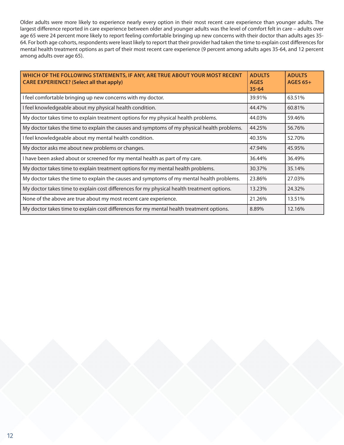Older adults were more likely to experience nearly every option in their most recent care experience than younger adults. The largest difference reported in care experience between older and younger adults was the level of comfort felt in care – adults over age 65 were 24 percent more likely to report feeling comfortable bringing up new concerns with their doctor than adults ages 35- 64. For both age cohorts, respondents were least likely to report that their provider had taken the time to explain cost differences for mental health treatment options as part of their most recent care experience (9 percent among adults ages 35-64, and 12 percent among adults over age 65).

| WHICH OF THE FOLLOWING STATEMENTS, IF ANY, ARE TRUE ABOUT YOUR MOST RECENT<br><b>CARE EXPERIENCE? (Select all that apply)</b> | <b>ADULTS</b><br><b>AGES</b><br>$35 - 64$ | <b>ADULTS</b><br><b>AGES 65+</b> |
|-------------------------------------------------------------------------------------------------------------------------------|-------------------------------------------|----------------------------------|
| I feel comfortable bringing up new concerns with my doctor.                                                                   | 39.91%                                    | 63.51%                           |
| I feel knowledgeable about my physical health condition.                                                                      | 44.47%                                    | 60.81%                           |
| My doctor takes time to explain treatment options for my physical health problems.                                            | 44.03%                                    | 59.46%                           |
| My doctor takes the time to explain the causes and symptoms of my physical health problems.                                   | 44.25%                                    | 56.76%                           |
| I feel knowledgeable about my mental health condition.                                                                        | 40.35%                                    | 52.70%                           |
| My doctor asks me about new problems or changes.                                                                              | 47.94%                                    | 45.95%                           |
| I have been asked about or screened for my mental health as part of my care.                                                  | 36.44%                                    | 36.49%                           |
| My doctor takes time to explain treatment options for my mental health problems.                                              | 30.37%                                    | 35.14%                           |
| My doctor takes the time to explain the causes and symptoms of my mental health problems.                                     | 23.86%                                    | 27.03%                           |
| My doctor takes time to explain cost differences for my physical health treatment options.                                    | 13.23%                                    | 24.32%                           |
| None of the above are true about my most recent care experience.                                                              | 21.26%                                    | 13.51%                           |
| My doctor takes time to explain cost differences for my mental health treatment options.                                      | 8.89%                                     | 12.16%                           |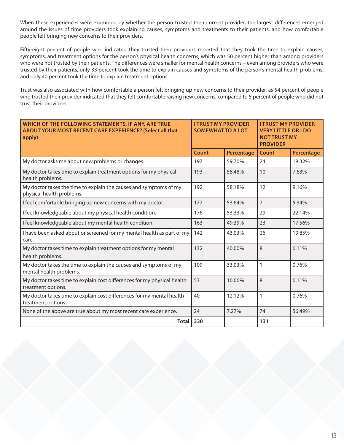When these experiences were examined by whether the person trusted their current provider, the largest differences emerged around the issues of time providers took explaining causes, symptoms and treatments to their patients, and how comfortable people felt bringing new concerns to their providers.

Fifty-eight percent of people who indicated they trusted their providers reported that they took the time to explain causes, symptoms, and treatment options for the person's physical health concerns, which was 50 percent higher than among providers who were not trusted by their patients. The differences were smaller for mental health concerns – even among providers who were trusted by their patients, only 33 percent took the time to explain causes and symptoms of the person's mental health problems, and only 40 percent took the time to explain treatment options.

Trust was also associated with how comfortable a person felt bringing up new concerns to their provider, as 54 percent of people who trusted their provider indicated that they felt comfortable raising new concerns, compared to 5 percent of people who did not trust their providers.

| WHICH OF THE FOLLOWING STATEMENTS, IF ANY, ARE TRUE<br>ABOUT YOUR MOST RECENT CARE EXPERIENCE? (Select all that<br>apply) | <b>I TRUST MY PROVIDER</b><br><b>SOMEWHAT TO A LOT</b> |            | <b>I TRUST MY PROVIDER</b><br><b>VERY LITTLE OR I DO</b><br><b>NOT TRUST MY</b><br><b>PROVIDER</b> |                   |
|---------------------------------------------------------------------------------------------------------------------------|--------------------------------------------------------|------------|----------------------------------------------------------------------------------------------------|-------------------|
|                                                                                                                           | Count                                                  | Percentage | <b>Count</b>                                                                                       | <b>Percentage</b> |
| My doctor asks me about new problems or changes.                                                                          | 197                                                    | 59.70%     | 24                                                                                                 | 18.32%            |
| My doctor takes time to explain treatment options for my physical<br>health problems.                                     | 193                                                    | 58.48%     | 10                                                                                                 | 7.63%             |
| My doctor takes the time to explain the causes and symptoms of my<br>physical health problems.                            | 192                                                    | 58.18%     | 12                                                                                                 | 9.16%             |
| I feel comfortable bringing up new concerns with my doctor.                                                               | 177                                                    | 53.64%     | $\overline{7}$                                                                                     | 5.34%             |
| I feel knowledgeable about my physical health condition.                                                                  | 176                                                    | 53.33%     | 29                                                                                                 | 22.14%            |
| I feel knowledgeable about my mental health condition.                                                                    | 163                                                    | 49.39%     | 23                                                                                                 | 17.56%            |
| I have been asked about or screened for my mental health as part of my<br>care.                                           | 142                                                    | 43.03%     | 26                                                                                                 | 19.85%            |
| My doctor takes time to explain treatment options for my mental<br>health problems.                                       | 132                                                    | 40.00%     | 8                                                                                                  | 6.11%             |
| My doctor takes the time to explain the causes and symptoms of my<br>mental health problems.                              | 109                                                    | 33.03%     | 1                                                                                                  | 0.76%             |
| My doctor takes time to explain cost differences for my physical health<br>treatment options.                             | 53                                                     | 16.06%     | 8                                                                                                  | 6.11%             |
| My doctor takes time to explain cost differences for my mental health<br>treatment options.                               | 40                                                     | 12.12%     | 1                                                                                                  | 0.76%             |
| None of the above are true about my most recent care experience.                                                          | 24                                                     | 7.27%      | 74                                                                                                 | 56.49%            |
| <b>Total</b>                                                                                                              | 330                                                    |            | 131                                                                                                |                   |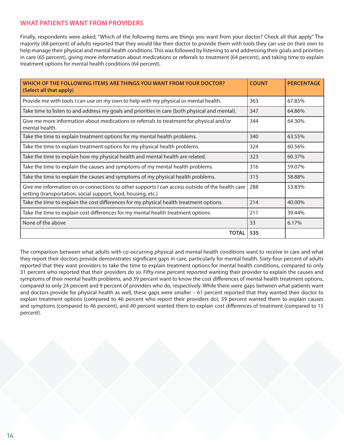### **WHAT PATIENTS WANT FROM PROVIDERS**

Finally, respondents were asked, "Which of the following items are things you want from your doctor? Check all that apply." The majority (68 percent) of adults reported that they would like their doctor to provide them with tools they can use on their own to help manage their physical and mental health conditions. This was followed by listening to and addressing their goals and priorities in care (65 percent), giving more information about medications or referrals to treatment (64 percent), and taking time to explain treatment options for mental health conditions (64 percent).

| WHICH OF THE FOLLOWING ITEMS ARE THINGS YOU WANT FROM YOUR DOCTOR?<br>(Select all that apply)                                                                    | <b>COUNT</b> | <b>PERCENTAGE</b> |
|------------------------------------------------------------------------------------------------------------------------------------------------------------------|--------------|-------------------|
| Provide me with tools I can use on my own to help with my physical or mental health.                                                                             | 363          | 67.85%            |
| Take time to listen to and address my goals and priorities in care (both physical and mental).                                                                   | 347          | 64.86%            |
| Give me more information about medications or referrals to treatment for physical and/or<br>mental health.                                                       | 344          | 64.30%            |
| Take the time to explain treatment options for my mental health problems.                                                                                        |              | 63.55%            |
| Take the time to explain treatment options for my physical health problems.                                                                                      |              | 60.56%            |
| Take the time to explain how my physical health and mental health are related.                                                                                   |              | 60.37%            |
| Take the time to explain the causes and symptoms of my mental health problems.                                                                                   |              | 59.07%            |
| Take the time to explain the causes and symptoms of my physical health problems.                                                                                 | 315          | 58.88%            |
| Give me information on or connections to other supports I can access outside of the health care<br>setting (transportation, social support, food, housing, etc.) | 288          | 53.83%            |
| Take the time to explain the cost differences for my physical health treatment options.                                                                          |              | 40.00%            |
| Take the time to explain cost differences for my mental health treatment options.                                                                                |              | 39.44%            |
| None of the above                                                                                                                                                | 33           | 6.17%             |
| <b>TOTAL</b>                                                                                                                                                     | 535          |                   |

The comparison between what adults with co-occurring physical and mental health conditions want to receive in care and what they report their doctors provide demonstrates significant gaps in care, particularly for mental health. Sixty-four percent of adults reported that they want providers to take the time to explain treatment options for mental health conditions, compared to only 31 percent who reported that their providers do so. Fifty-nine percent reported wanting their provider to explain the causes and symptoms of their mental health problems, and 39 percent want to know the cost differences of mental health treatment options, compared to only 24 percent and 9 percent of providers who do, respectively. While there were gaps between what patients want and doctors provide for physical health as well, these gaps were smaller – 61 percent reported that they wanted their doctor to explain treatment options (compared to 46 percent who report their providers do), 59 percent wanted them to explain causes and symptoms (compared to 46 percent), and 40 percent wanted them to explain cost differences of treatment (compared to 15 percent).